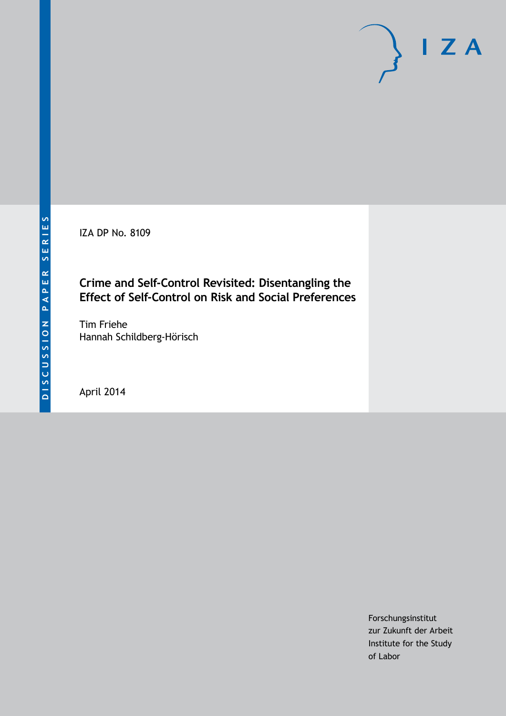IZA DP No. 8109

# **Crime and Self-Control Revisited: Disentangling the Effect of Self-Control on Risk and Social Preferences**

Tim Friehe Hannah Schildberg-Hörisch

April 2014

Forschungsinstitut zur Zukunft der Arbeit Institute for the Study of Labor

 $I Z A$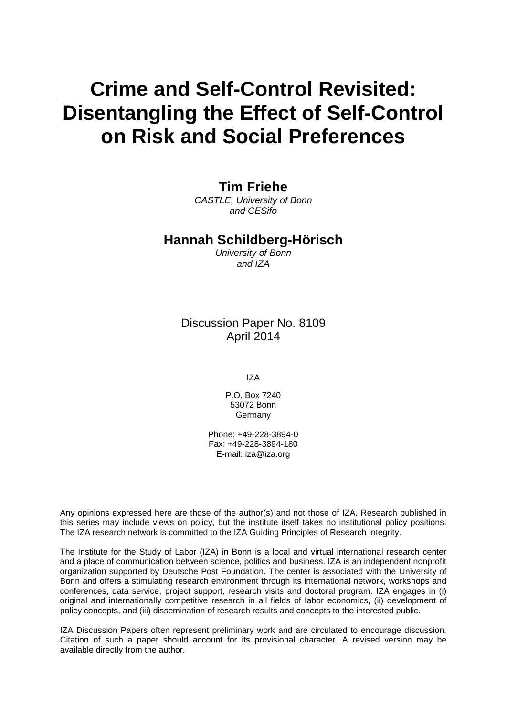# **Crime and Self-Control Revisited: Disentangling the Effect of Self-Control on Risk and Social Preferences**

# **Tim Friehe**

*CASTLE, University of Bonn and CESifo*

### **Hannah Schildberg-Hörisch**

*University of Bonn and IZA*

# Discussion Paper No. 8109 April 2014

IZA

P.O. Box 7240 53072 Bonn Germany

Phone: +49-228-3894-0 Fax: +49-228-3894-180 E-mail: [iza@iza.org](mailto:iza@iza.org)

Any opinions expressed here are those of the author(s) and not those of IZA. Research published in this series may include views on policy, but the institute itself takes no institutional policy positions. The IZA research network is committed to the IZA Guiding Principles of Research Integrity.

The Institute for the Study of Labor (IZA) in Bonn is a local and virtual international research center and a place of communication between science, politics and business. IZA is an independent nonprofit organization supported by Deutsche Post Foundation. The center is associated with the University of Bonn and offers a stimulating research environment through its international network, workshops and conferences, data service, project support, research visits and doctoral program. IZA engages in (i) original and internationally competitive research in all fields of labor economics, (ii) development of policy concepts, and (iii) dissemination of research results and concepts to the interested public.

IZA Discussion Papers often represent preliminary work and are circulated to encourage discussion. Citation of such a paper should account for its provisional character. A revised version may be available directly from the author.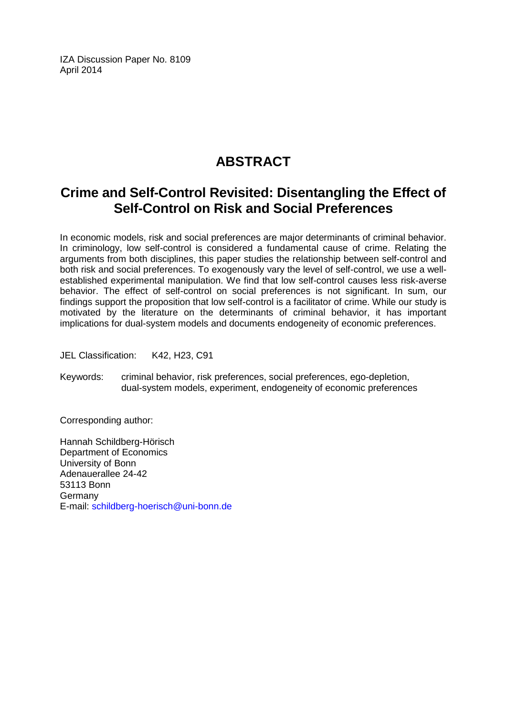IZA Discussion Paper No. 8109 April 2014

# **ABSTRACT**

# **Crime and Self-Control Revisited: Disentangling the Effect of Self-Control on Risk and Social Preferences**

In economic models, risk and social preferences are major determinants of criminal behavior. In criminology, low self-control is considered a fundamental cause of crime. Relating the arguments from both disciplines, this paper studies the relationship between self-control and both risk and social preferences. To exogenously vary the level of self-control, we use a wellestablished experimental manipulation. We find that low self-control causes less risk-averse behavior. The effect of self-control on social preferences is not significant. In sum, our findings support the proposition that low self-control is a facilitator of crime. While our study is motivated by the literature on the determinants of criminal behavior, it has important implications for dual-system models and documents endogeneity of economic preferences.

JEL Classification: K42, H23, C91

Keywords: criminal behavior, risk preferences, social preferences, ego-depletion, dual-system models, experiment, endogeneity of economic preferences

Corresponding author:

Hannah Schildberg-Hörisch Department of Economics University of Bonn Adenauerallee 24-42 53113 Bonn Germany E-mail: [schildberg-hoerisch@uni-bonn.de](mailto:schildberg-hoerisch@uni-bonn.de)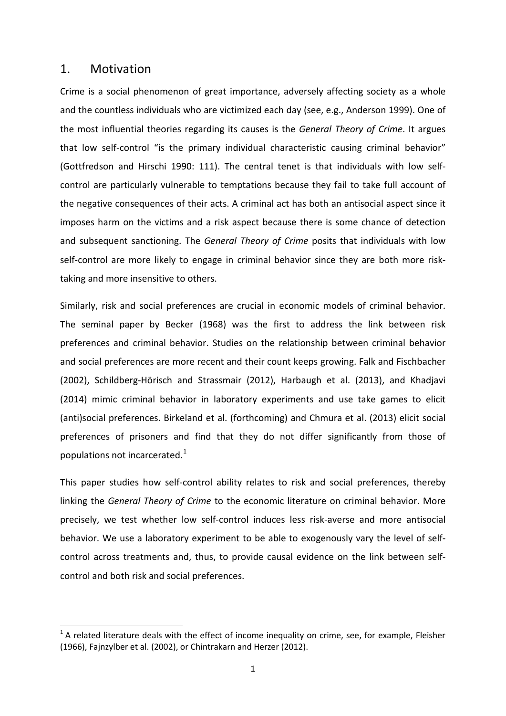### 1. Motivation

Crime is a social phenomenon of great importance, adversely affecting society as a whole and the countless individuals who are victimized each day (see, e.g., Anderson 1999). One of the most influential theories regarding its causes is the *General Theory of Crime*. It argues that low self-control "is the primary individual characteristic causing criminal behavior" (Gottfredson and Hirschi 1990: 111). The central tenet is that individuals with low selfcontrol are particularly vulnerable to temptations because they fail to take full account of the negative consequences of their acts. A criminal act has both an antisocial aspect since it imposes harm on the victims and a risk aspect because there is some chance of detection and subsequent sanctioning. The *General Theory of Crime* posits that individuals with low self-control are more likely to engage in criminal behavior since they are both more risktaking and more insensitive to others.

Similarly, risk and social preferences are crucial in economic models of criminal behavior. The seminal paper by Becker (1968) was the first to address the link between risk preferences and criminal behavior. Studies on the relationship between criminal behavior and social preferences are more recent and their count keeps growing. Falk and Fischbacher (2002), Schildberg-Hörisch and Strassmair (2012), Harbaugh et al. (2013), and Khadjavi (2014) mimic criminal behavior in laboratory experiments and use take games to elicit (anti)social preferences. Birkeland et al. (forthcoming) and Chmura et al. (2013) elicit social preferences of prisoners and find that they do not differ significantly from those of populations not incarcerated.<sup>[1](#page-3-0)</sup>

This paper studies how self-control ability relates to risk and social preferences, thereby linking the *General Theory of Crime* to the economic literature on criminal behavior. More precisely, we test whether low self-control induces less risk-averse and more antisocial behavior. We use a laboratory experiment to be able to exogenously vary the level of selfcontrol across treatments and, thus, to provide causal evidence on the link between selfcontrol and both risk and social preferences.

<span id="page-3-1"></span><span id="page-3-0"></span> $1$  A related literature deals with the effect of income inequality on crime, see, for example, Fleisher (1966), Fajnzylber et al. (2002), or Chintrakarn and Herzer (2012).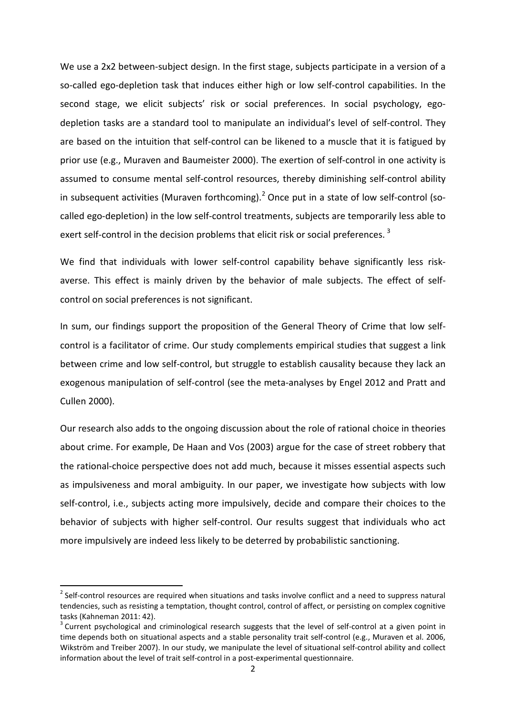We use a 2x2 between-subject design. In the first stage, subjects participate in a version of a so-called ego-depletion task that induces either high or low self-control capabilities. In the second stage, we elicit subjects' risk or social preferences. In social psychology, egodepletion tasks are a standard tool to manipulate an individual's level of self-control. They are based on the intuition that self-control can be likened to a muscle that it is fatigued by prior use (e.g., Muraven and Baumeister 2000). The exertion of self-control in one activity is assumed to consume mental self-control resources, thereby diminishing self-control ability in subsequent activities (Muraven forthcoming).<sup>[2](#page-3-1)</sup> Once put in a state of low self-control (socalled ego-depletion) in the low self-control treatments, subjects are temporarily less able to exert self-control in the decision problems that elicit risk or social preferences.<sup>[3](#page-4-0)</sup>

We find that individuals with lower self-control capability behave significantly less riskaverse. This effect is mainly driven by the behavior of male subjects. The effect of selfcontrol on social preferences is not significant.

In sum, our findings support the proposition of the General Theory of Crime that low selfcontrol is a facilitator of crime. Our study complements empirical studies that suggest a link between crime and low self-control, but struggle to establish causality because they lack an exogenous manipulation of self-control (see the meta-analyses by Engel 2012 and Pratt and Cullen 2000).

Our research also adds to the ongoing discussion about the role of rational choice in theories about crime. For example, De Haan and Vos (2003) argue for the case of street robbery that the rational-choice perspective does not add much, because it misses essential aspects such as impulsiveness and moral ambiguity. In our paper, we investigate how subjects with low self-control, i.e., subjects acting more impulsively, decide and compare their choices to the behavior of subjects with higher self-control. Our results suggest that individuals who act more impulsively are indeed less likely to be deterred by probabilistic sanctioning.

<sup>&</sup>lt;sup>2</sup> Self-control resources are required when situations and tasks involve conflict and a need to suppress natural tendencies, such as resisting a temptation, thought control, control of affect, or persisting on complex cognitive tasks (Kahneman 2011: 42).<br><sup>3</sup> Current psychological and criminological research suggests that the level of self-control at a given point in

<span id="page-4-1"></span><span id="page-4-0"></span>time depends both on situational aspects and a stable personality trait self-control (e.g., Muraven et al. 2006, Wikström and Treiber 2007). In our study, we manipulate the level of situational self-control ability and collect information about the level of trait self-control in a post-experimental questionnaire.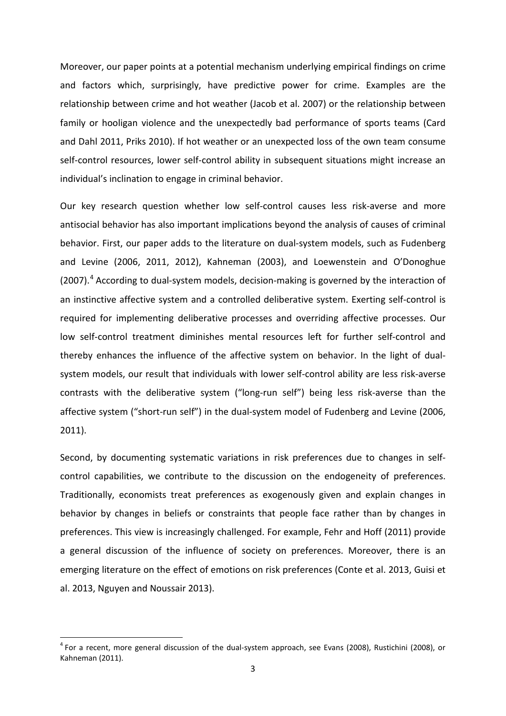Moreover, our paper points at a potential mechanism underlying empirical findings on crime and factors which, surprisingly, have predictive power for crime. Examples are the relationship between crime and hot weather (Jacob et al. 2007) or the relationship between family or hooligan violence and the unexpectedly bad performance of sports teams (Card and Dahl 2011, Priks 2010). If hot weather or an unexpected loss of the own team consume self-control resources, lower self-control ability in subsequent situations might increase an individual's inclination to engage in criminal behavior.

Our key research question whether low self-control causes less risk-averse and more antisocial behavior has also important implications beyond the analysis of causes of criminal behavior. First, our paper adds to the literature on dual-system models, such as Fudenberg and Levine (2006, 2011, 2012), Kahneman (2003), and Loewenstein and O'Donoghue  $(2007)$ .<sup>[4](#page-4-1)</sup> According to dual-system models, decision-making is governed by the interaction of an instinctive affective system and a controlled deliberative system. Exerting self-control is required for implementing deliberative processes and overriding affective processes. Our low self-control treatment diminishes mental resources left for further self-control and thereby enhances the influence of the affective system on behavior. In the light of dualsystem models, our result that individuals with lower self-control ability are less risk-averse contrasts with the deliberative system ("long-run self") being less risk-averse than the affective system ("short-run self") in the dual-system model of Fudenberg and Levine (2006, 2011).

Second, by documenting systematic variations in risk preferences due to changes in selfcontrol capabilities, we contribute to the discussion on the endogeneity of preferences. Traditionally, economists treat preferences as exogenously given and explain changes in behavior by changes in beliefs or constraints that people face rather than by changes in preferences. This view is increasingly challenged. For example, Fehr and Hoff (2011) provide a general discussion of the influence of society on preferences. Moreover, there is an emerging literature on the effect of emotions on risk preferences (Conte et al. 2013, Guisi et al. 2013, Nguyen and Noussair 2013).

<span id="page-5-0"></span> $^4$  For a recent, more general discussion of the dual-system approach, see Evans (2008), Rustichini (2008), or Kahneman (2011).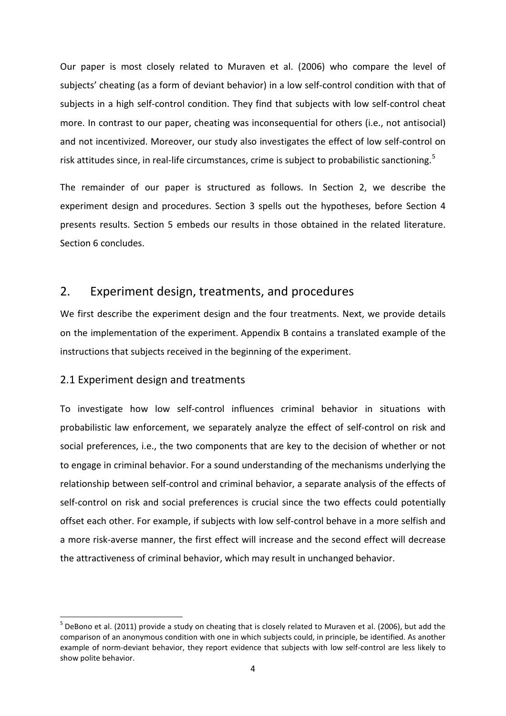Our paper is most closely related to Muraven et al. (2006) who compare the level of subjects' cheating (as a form of deviant behavior) in a low self-control condition with that of subjects in a high self-control condition. They find that subjects with low self-control cheat more. In contrast to our paper, cheating was inconsequential for others (i.e., not antisocial) and not incentivized. Moreover, our study also investigates the effect of low self-control on risk attitudes since, in real-life circumstances, crime is subject to probabilistic sanctioning.<sup>[5](#page-5-0)</sup>

The remainder of our paper is structured as follows. In Section 2, we describe the experiment design and procedures. Section 3 spells out the hypotheses, before Section 4 presents results. Section 5 embeds our results in those obtained in the related literature. Section 6 concludes.

# 2. Experiment design, treatments, and procedures

We first describe the experiment design and the four treatments. Next, we provide details on the implementation of the experiment. Appendix B contains a translated example of the instructions that subjects received in the beginning of the experiment.

## 2.1 Experiment design and treatments

To investigate how low self-control influences criminal behavior in situations with probabilistic law enforcement, we separately analyze the effect of self-control on risk and social preferences, i.e., the two components that are key to the decision of whether or not to engage in criminal behavior. For a sound understanding of the mechanisms underlying the relationship between self-control and criminal behavior, a separate analysis of the effects of self-control on risk and social preferences is crucial since the two effects could potentially offset each other. For example, if subjects with low self-control behave in a more selfish and a more risk-averse manner, the first effect will increase and the second effect will decrease the attractiveness of criminal behavior, which may result in unchanged behavior.

<span id="page-6-0"></span> $<sup>5</sup>$  DeBono et al. (2011) provide a study on cheating that is closely related to Muraven et al. (2006), but add the</sup> comparison of an anonymous condition with one in which subjects could, in principle, be identified. As another example of norm-deviant behavior, they report evidence that subjects with low self-control are less likely to show polite behavior.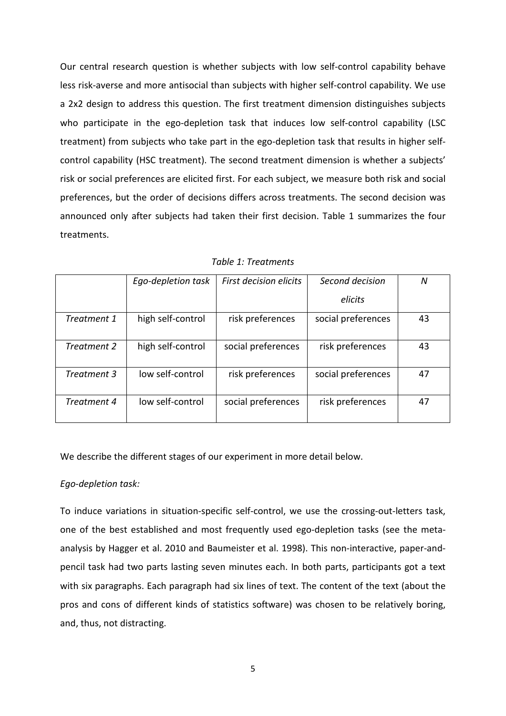Our central research question is whether subjects with low self-control capability behave less risk-averse and more antisocial than subjects with higher self-control capability. We use a 2x2 design to address this question. The first treatment dimension distinguishes subjects who participate in the ego-depletion task that induces low self-control capability (LSC treatment) from subjects who take part in the ego-depletion task that results in higher selfcontrol capability (HSC treatment). The second treatment dimension is whether a subjects' risk or social preferences are elicited first. For each subject, we measure both risk and social preferences, but the order of decisions differs across treatments. The second decision was announced only after subjects had taken their first decision. Table 1 summarizes the four treatments.

|             | Ego-depletion task | <b>First decision elicits</b> | Second decision    | N  |
|-------------|--------------------|-------------------------------|--------------------|----|
|             |                    |                               | elicits            |    |
| Treatment 1 | high self-control  | risk preferences              | social preferences | 43 |
| Treatment 2 | high self-control  | social preferences            | risk preferences   | 43 |
| Treatment 3 | low self-control   | risk preferences              | social preferences | 47 |
| Treatment 4 | low self-control   | social preferences            | risk preferences   | 47 |

*Table 1: Treatments*

We describe the different stages of our experiment in more detail below.

#### *Ego-depletion task:*

To induce variations in situation-specific self-control, we use the crossing-out-letters task, one of the best established and most frequently used ego-depletion tasks (see the metaanalysis by Hagger et al. 2010 and Baumeister et al. 1998). This non-interactive, paper-andpencil task had two parts lasting seven minutes each. In both parts, participants got a text with six paragraphs. Each paragraph had six lines of text. The content of the text (about the pros and cons of different kinds of statistics software) was chosen to be relatively boring, and, thus, not distracting.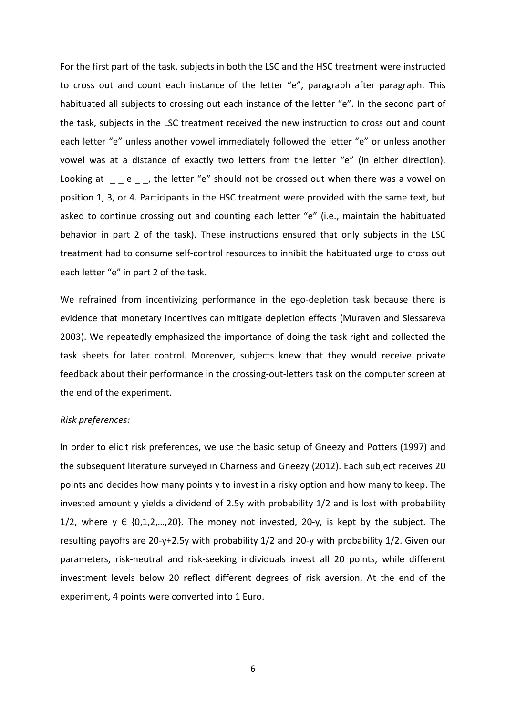For the first part of the task, subjects in both the LSC and the HSC treatment were instructed to cross out and count each instance of the letter "e", paragraph after paragraph. This habituated all subjects to crossing out each instance of the letter "e". In the second part of the task, subjects in the LSC treatment received the new instruction to cross out and count each letter "e" unless another vowel immediately followed the letter "e" or unless another vowel was at a distance of exactly two letters from the letter "e" (in either direction). Looking at  $\Box$  e  $\Box$ , the letter "e" should not be crossed out when there was a vowel on position 1, 3, or 4. Participants in the HSC treatment were provided with the same text, but asked to continue crossing out and counting each letter "e" (i.e., maintain the habituated behavior in part 2 of the task). These instructions ensured that only subjects in the LSC treatment had to consume self-control resources to inhibit the habituated urge to cross out each letter "e" in part 2 of the task.

We refrained from incentivizing performance in the ego-depletion task because there is evidence that monetary incentives can mitigate depletion effects (Muraven and Slessareva 2003). We repeatedly emphasized the importance of doing the task right and collected the task sheets for later control. Moreover, subjects knew that they would receive private feedback about their performance in the crossing-out-letters task on the computer screen at the end of the experiment.

#### *Risk preferences:*

In order to elicit risk preferences, we use the basic setup of Gneezy and Potters (1997) and the subsequent literature surveyed in Charness and Gneezy (2012). Each subject receives 20 points and decides how many points y to invest in a risky option and how many to keep. The invested amount y yields a dividend of 2.5y with probability 1/2 and is lost with probability  $1/2$ , where y  $\in$   $\{0,1,2,...,20\}$ . The money not invested, 20-y, is kept by the subject. The resulting payoffs are 20-y+2.5y with probability 1/2 and 20-y with probability 1/2. Given our parameters, risk-neutral and risk-seeking individuals invest all 20 points, while different investment levels below 20 reflect different degrees of risk aversion. At the end of the experiment, 4 points were converted into 1 Euro.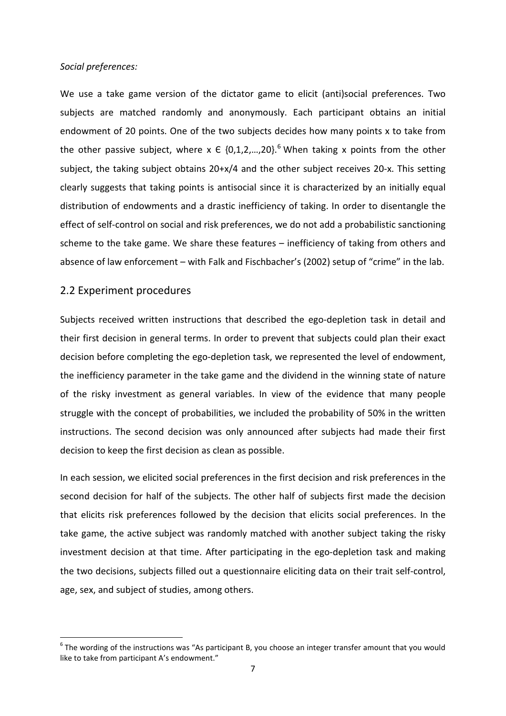#### *Social preferences:*

We use a take game version of the dictator game to elicit (anti)social preferences. Two subjects are matched randomly and anonymously. Each participant obtains an initial endowment of 20 points. One of the two subjects decides how many points x to take from the other passive subject, where  $x \in \{0,1,2,...,20\}$ .<sup>[6](#page-6-0)</sup> When taking x points from the other subject, the taking subject obtains 20+x/4 and the other subject receives 20-x. This setting clearly suggests that taking points is antisocial since it is characterized by an initially equal distribution of endowments and a drastic inefficiency of taking. In order to disentangle the effect of self-control on social and risk preferences, we do not add a probabilistic sanctioning scheme to the take game. We share these features – inefficiency of taking from others and absence of law enforcement – with Falk and Fischbacher's (2002) setup of "crime" in the lab.

#### 2.2 Experiment procedures

Subjects received written instructions that described the ego-depletion task in detail and their first decision in general terms. In order to prevent that subjects could plan their exact decision before completing the ego-depletion task, we represented the level of endowment, the inefficiency parameter in the take game and the dividend in the winning state of nature of the risky investment as general variables. In view of the evidence that many people struggle with the concept of probabilities, we included the probability of 50% in the written instructions. The second decision was only announced after subjects had made their first decision to keep the first decision as clean as possible.

In each session, we elicited social preferences in the first decision and risk preferences in the second decision for half of the subjects. The other half of subjects first made the decision that elicits risk preferences followed by the decision that elicits social preferences. In the take game, the active subject was randomly matched with another subject taking the risky investment decision at that time. After participating in the ego-depletion task and making the two decisions, subjects filled out a questionnaire eliciting data on their trait self-control, age, sex, and subject of studies, among others.

<span id="page-9-0"></span> $6$  The wording of the instructions was "As participant B, you choose an integer transfer amount that you would like to take from participant A's endowment."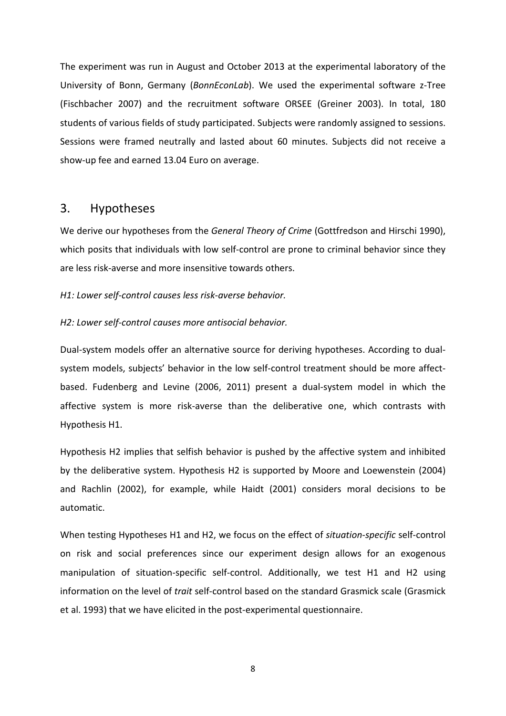The experiment was run in August and October 2013 at the experimental laboratory of the University of Bonn, Germany (*BonnEconLab*). We used the experimental software z-Tree (Fischbacher 2007) and the recruitment software ORSEE (Greiner 2003). In total, 180 students of various fields of study participated. Subjects were randomly assigned to sessions. Sessions were framed neutrally and lasted about 60 minutes. Subjects did not receive a show-up fee and earned 13.04 Euro on average.

### 3. Hypotheses

We derive our hypotheses from the *General Theory of Crime* (Gottfredson and Hirschi 1990), which posits that individuals with low self-control are prone to criminal behavior since they are less risk-averse and more insensitive towards others.

#### *H1: Lower self-control causes less risk-averse behavior.*

#### *H2: Lower self-control causes more antisocial behavior.*

Dual-system models offer an alternative source for deriving hypotheses. According to dualsystem models, subjects' behavior in the low self-control treatment should be more affectbased. Fudenberg and Levine (2006, 2011) present a dual-system model in which the affective system is more risk-averse than the deliberative one, which contrasts with Hypothesis H1.

Hypothesis H2 implies that selfish behavior is pushed by the affective system and inhibited by the deliberative system. Hypothesis H2 is supported by Moore and Loewenstein (2004) and Rachlin (2002), for example, while Haidt (2001) considers moral decisions to be automatic.

When testing Hypotheses H1 and H2, we focus on the effect of *situation-specific* self-control on risk and social preferences since our experiment design allows for an exogenous manipulation of situation-specific self-control. Additionally, we test H1 and H2 using information on the level of *trait* self-control based on the standard Grasmick scale (Grasmick et al. 1993) that we have elicited in the post-experimental questionnaire.

8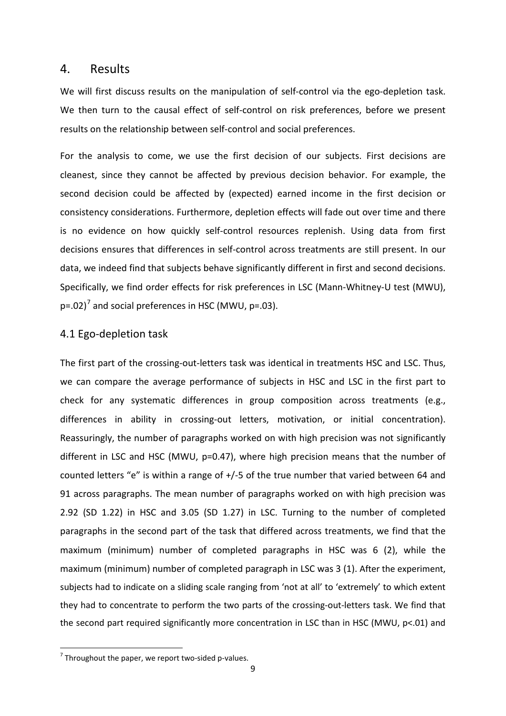#### 4. Results

We will first discuss results on the manipulation of self-control via the ego-depletion task. We then turn to the causal effect of self-control on risk preferences, before we present results on the relationship between self-control and social preferences.

For the analysis to come, we use the first decision of our subjects. First decisions are cleanest, since they cannot be affected by previous decision behavior. For example, the second decision could be affected by (expected) earned income in the first decision or consistency considerations. Furthermore, depletion effects will fade out over time and there is no evidence on how quickly self-control resources replenish. Using data from first decisions ensures that differences in self-control across treatments are still present. In our data, we indeed find that subjects behave significantly different in first and second decisions. Specifically, we find order effects for risk preferences in LSC (Mann-Whitney-U test (MWU),  $p=.02$ <sup>[7](#page-9-0)</sup> and social preferences in HSC (MWU,  $p=.03$ ).

#### 4.1 Ego-depletion task

The first part of the crossing-out-letters task was identical in treatments HSC and LSC. Thus, we can compare the average performance of subjects in HSC and LSC in the first part to check for any systematic differences in group composition across treatments (e.g., differences in ability in crossing-out letters, motivation, or initial concentration). Reassuringly, the number of paragraphs worked on with high precision was not significantly different in LSC and HSC (MWU, p=0.47), where high precision means that the number of counted letters "e" is within a range of +/-5 of the true number that varied between 64 and 91 across paragraphs. The mean number of paragraphs worked on with high precision was 2.92 (SD 1.22) in HSC and 3.05 (SD 1.27) in LSC. Turning to the number of completed paragraphs in the second part of the task that differed across treatments, we find that the maximum (minimum) number of completed paragraphs in HSC was 6 (2), while the maximum (minimum) number of completed paragraph in LSC was 3 (1). After the experiment, subjects had to indicate on a sliding scale ranging from 'not at all' to 'extremely' to which extent they had to concentrate to perform the two parts of the crossing-out-letters task. We find that the second part required significantly more concentration in LSC than in HSC (MWU, p<.01) and

<span id="page-11-0"></span> $7$  Throughout the paper, we report two-sided p-values.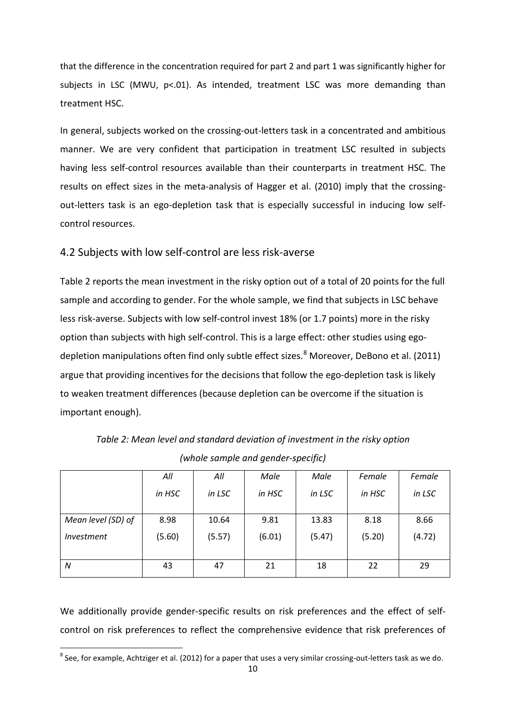that the difference in the concentration required for part 2 and part 1 was significantly higher for subjects in LSC (MWU, p<.01). As intended, treatment LSC was more demanding than treatment HSC.

In general, subjects worked on the crossing-out-letters task in a concentrated and ambitious manner. We are very confident that participation in treatment LSC resulted in subjects having less self-control resources available than their counterparts in treatment HSC. The results on effect sizes in the meta-analysis of Hagger et al. (2010) imply that the crossingout-letters task is an ego-depletion task that is especially successful in inducing low selfcontrol resources.

### 4.2 Subjects with low self-control are less risk-averse

Table 2 reports the mean investment in the risky option out of a total of 20 points for the full sample and according to gender. For the whole sample, we find that subjects in LSC behave less risk-averse. Subjects with low self-control invest 18% (or 1.7 points) more in the risky option than subjects with high self-control. This is a large effect: other studies using ego-depletion manipulations often find only subtle effect sizes.<sup>[8](#page-11-0)</sup> Moreover, DeBono et al. (2011) argue that providing incentives for the decisions that follow the ego-depletion task is likely to weaken treatment differences (because depletion can be overcome if the situation is important enough).

|                    | All    | All    | Male   | Male   | Female | Female |
|--------------------|--------|--------|--------|--------|--------|--------|
|                    | in HSC | in LSC | in HSC | in LSC | in HSC | in LSC |
|                    |        |        |        |        |        |        |
| Mean level (SD) of | 8.98   | 10.64  | 9.81   | 13.83  | 8.18   | 8.66   |
| <i>Investment</i>  | (5.60) | (5.57) | (6.01) | (5.47) | (5.20) | (4.72) |
|                    |        |        |        |        |        |        |
| N                  | 43     | 47     | 21     | 18     | 22     | 29     |

*Table 2: Mean level and standard deviation of investment in the risky option (whole sample and gender-specific)*

<span id="page-12-0"></span>We additionally provide gender-specific results on risk preferences and the effect of selfcontrol on risk preferences to reflect the comprehensive evidence that risk preferences of

<sup>&</sup>lt;sup>8</sup> See, for example, Achtziger et al. (2012) for a paper that uses a very similar crossing-out-letters task as we do.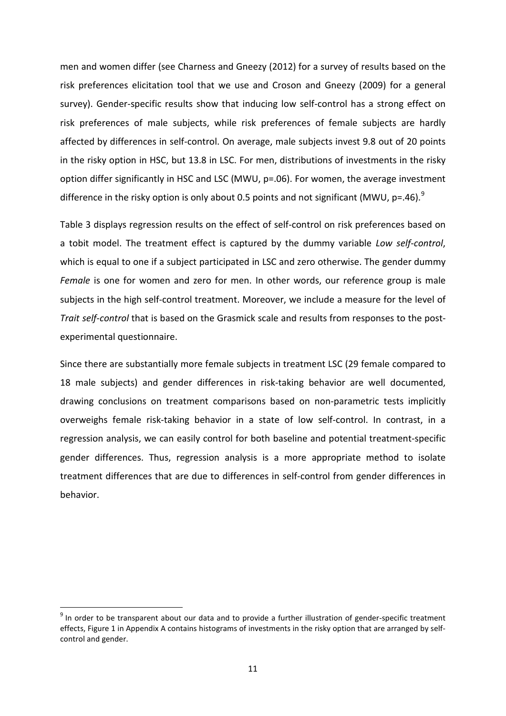men and women differ (see Charness and Gneezy (2012) for a survey of results based on the risk preferences elicitation tool that we use and Croson and Gneezy (2009) for a general survey). Gender-specific results show that inducing low self-control has a strong effect on risk preferences of male subjects, while risk preferences of female subjects are hardly affected by differences in self-control. On average, male subjects invest 9.8 out of 20 points in the risky option in HSC, but 13.8 in LSC. For men, distributions of investments in the risky option differ significantly in HSC and LSC (MWU, p=.06). For women, the average investment difference in the risky option is only about 0.5 points and not significant (MWU,  $p=$ .46).<sup>[9](#page-12-0)</sup>

Table 3 displays regression results on the effect of self-control on risk preferences based on a tobit model. The treatment effect is captured by the dummy variable *Low self-control*, which is equal to one if a subject participated in LSC and zero otherwise. The gender dummy *Female* is one for women and zero for men. In other words, our reference group is male subjects in the high self-control treatment. Moreover, we include a measure for the level of *Trait self-control* that is based on the Grasmick scale and results from responses to the postexperimental questionnaire.

Since there are substantially more female subjects in treatment LSC (29 female compared to 18 male subjects) and gender differences in risk-taking behavior are well documented, drawing conclusions on treatment comparisons based on non-parametric tests implicitly overweighs female risk-taking behavior in a state of low self-control. In contrast, in a regression analysis, we can easily control for both baseline and potential treatment-specific gender differences. Thus, regression analysis is a more appropriate method to isolate treatment differences that are due to differences in self-control from gender differences in behavior.

<span id="page-13-0"></span><sup>&</sup>lt;sup>9</sup> In order to be transparent about our data and to provide a further illustration of gender-specific treatment effects, Figure 1 in Appendix A contains histograms of investments in the risky option that are arranged by selfcontrol and gender.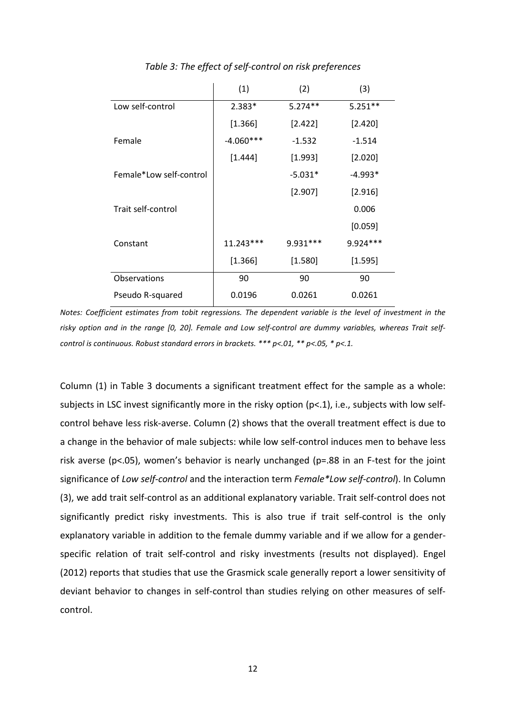|                         | (1)         | (2)       | (3)        |
|-------------------------|-------------|-----------|------------|
| Low self-control        | $2.383*$    | $5.274**$ | $5.251**$  |
|                         | [1.366]     | [2.422]   | [2.420]    |
| Female                  | $-4.060***$ | $-1.532$  | $-1.514$   |
|                         | [1.444]     | [1.993]   | [2.020]    |
| Female*Low self-control |             | $-5.031*$ | $-4.993*$  |
|                         |             | [2.907]   | [2.916]    |
| Trait self-control      |             |           | 0.006      |
|                         |             |           | [0.059]    |
| Constant                | $11.243***$ | 9.931 *** | $9.924***$ |
|                         | [1.366]     | [1.580]   | [1.595]    |
| Observations            | 90          | 90        | 90         |
| Pseudo R-squared        | 0.0196      | 0.0261    | 0.0261     |

*Table 3: The effect of self-control on risk preferences*

*Notes: Coefficient estimates from tobit regressions. The dependent variable is the level of investment in the risky option and in the range [0, 20]. Female and Low self-control are dummy variables, whereas Trait selfcontrol is continuous. Robust standard errors in brackets. \*\*\* p<.01, \*\* p<.05, \* p<.1.*

Column (1) in Table 3 documents a significant treatment effect for the sample as a whole: subjects in LSC invest significantly more in the risky option ( $p<1$ ), i.e., subjects with low selfcontrol behave less risk-averse. Column (2) shows that the overall treatment effect is due to a change in the behavior of male subjects: while low self-control induces men to behave less risk averse (p<.05), women's behavior is nearly unchanged (p=.88 in an F-test for the joint significance of *Low self-control* and the interaction term *Female\*Low self-control*). In Column (3), we add trait self-control as an additional explanatory variable. Trait self-control does not significantly predict risky investments. This is also true if trait self-control is the only explanatory variable in addition to the female dummy variable and if we allow for a genderspecific relation of trait self-control and risky investments (results not displayed). Engel (2012) reports that studies that use the Grasmick scale generally report a lower sensitivity of deviant behavior to changes in self-control than studies relying on other measures of selfcontrol.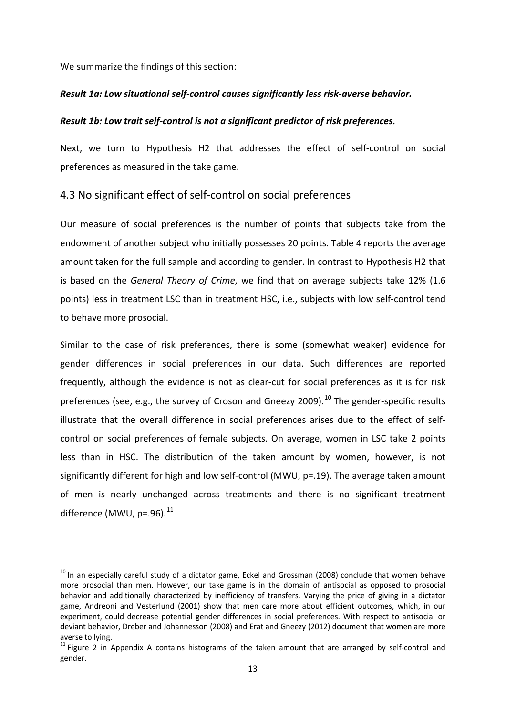We summarize the findings of this section:

#### *Result 1a: Low situational self-control causes significantly less risk-averse behavior.*

#### *Result 1b: Low trait self-control is not a significant predictor of risk preferences.*

Next, we turn to Hypothesis H2 that addresses the effect of self-control on social preferences as measured in the take game.

#### 4.3 No significant effect of self-control on social preferences

Our measure of social preferences is the number of points that subjects take from the endowment of another subject who initially possesses 20 points. Table 4 reports the average amount taken for the full sample and according to gender. In contrast to Hypothesis H2 that is based on the *General Theory of Crime*, we find that on average subjects take 12% (1.6 points) less in treatment LSC than in treatment HSC, i.e., subjects with low self-control tend to behave more prosocial.

Similar to the case of risk preferences, there is some (somewhat weaker) evidence for gender differences in social preferences in our data. Such differences are reported frequently, although the evidence is not as clear-cut for social preferences as it is for risk preferences (see, e.g., the survey of Croson and Gneezy 2009).<sup>[10](#page-13-0)</sup> The gender-specific results illustrate that the overall difference in social preferences arises due to the effect of selfcontrol on social preferences of female subjects. On average, women in LSC take 2 points less than in HSC. The distribution of the taken amount by women, however, is not significantly different for high and low self-control (MWU, p=.19). The average taken amount of men is nearly unchanged across treatments and there is no significant treatment difference (MWU,  $p=.96$ ).<sup>[11](#page-15-0)</sup>

 $10$  In an especially careful study of a dictator game, Eckel and Grossman (2008) conclude that women behave more prosocial than men. However, our take game is in the domain of antisocial as opposed to prosocial behavior and additionally characterized by inefficiency of transfers. Varying the price of giving in a dictator game, Andreoni and Vesterlund (2001) show that men care more about efficient outcomes, which, in our experiment, could decrease potential gender differences in social preferences. With respect to antisocial or deviant behavior, Dreber and Johannesson (2008) and Erat and Gneezy (2012) document that women are more averse to lying.

<span id="page-15-0"></span> $11$  Figure 2 in Appendix A contains histograms of the taken amount that are arranged by self-control and gender.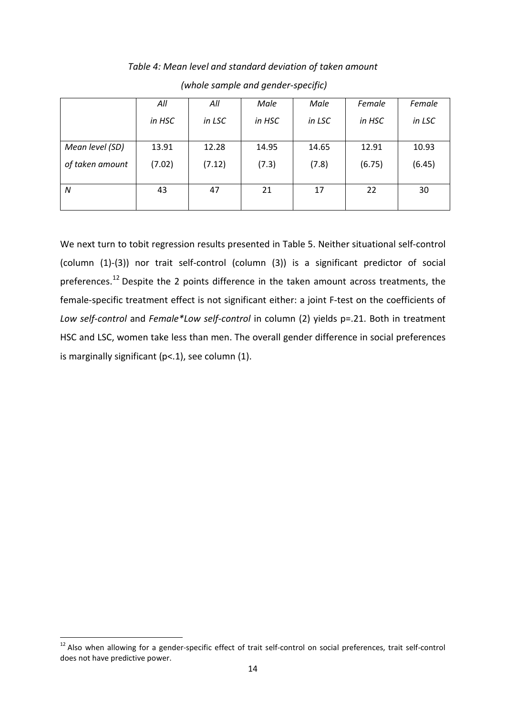|                 | All    | All    | Male   | Male   | Female | Female |
|-----------------|--------|--------|--------|--------|--------|--------|
|                 | in HSC | in LSC | in HSC | in LSC | in HSC | in LSC |
| Mean level (SD) | 13.91  | 12.28  | 14.95  | 14.65  | 12.91  | 10.93  |
|                 |        |        |        |        |        |        |
| of taken amount | (7.02) | (7.12) | (7.3)  | (7.8)  | (6.75) | (6.45) |
|                 |        |        |        |        |        |        |
| N               | 43     | 47     | 21     | 17     | 22     | 30     |
|                 |        |        |        |        |        |        |

*Table 4: Mean level and standard deviation of taken amount (whole sample and gender-specific)*

We next turn to tobit regression results presented in Table 5. Neither situational self-control (column (1)-(3)) nor trait self-control (column (3)) is a significant predictor of social preferences.<sup>[12](#page-15-0)</sup> Despite the 2 points difference in the taken amount across treatments, the female-specific treatment effect is not significant either: a joint F-test on the coefficients of *Low self-control* and *Female\*Low self-control* in column (2) yields p=.21. Both in treatment HSC and LSC, women take less than men. The overall gender difference in social preferences is marginally significant  $(p<.1)$ , see column  $(1)$ .

<span id="page-16-0"></span><sup>&</sup>lt;sup>12</sup> Also when allowing for a gender-specific effect of trait self-control on social preferences, trait self-control does not have predictive power.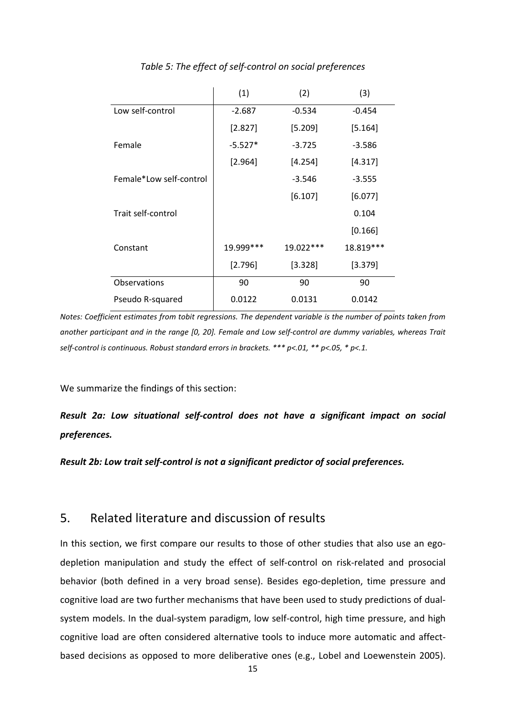|                         | (1)       | (2)         | (3)       |
|-------------------------|-----------|-------------|-----------|
| Low self-control        | $-2.687$  | $-0.534$    | $-0.454$  |
|                         | [2.827]   | [5.209]     | [5.164]   |
| Female                  | $-5.527*$ | $-3.725$    | $-3.586$  |
|                         | [2.964]   | [4.254]     | [4.317]   |
| Female*Low self-control |           | $-3.546$    | $-3.555$  |
|                         |           | [6.107]     | [6.077]   |
| Trait self-control      |           |             | 0.104     |
|                         |           |             | [0.166]   |
| Constant                | 19.999*** | $19.022***$ | 18.819*** |
|                         | [2.796]   | [3.328]     | [3.379]   |
| Observations            | 90        | 90          | 90        |
| Pseudo R-squared        | 0.0122    | 0.0131      | 0.0142    |

*Table 5: The effect of self-control on social preferences*

*Notes: Coefficient estimates from tobit regressions. The dependent variable is the number of points taken from another participant and in the range [0, 20]. Female and Low self-control are dummy variables, whereas Trait self-control is continuous. Robust standard errors in brackets. \*\*\* p<.01, \*\* p<.05, \* p<.1.*

We summarize the findings of this section:

*Result 2a: Low situational self-control does not have a significant impact on social preferences.*

*Result 2b: Low trait self-control is not a significant predictor of social preferences.*

### 5. Related literature and discussion of results

In this section, we first compare our results to those of other studies that also use an egodepletion manipulation and study the effect of self-control on risk-related and prosocial behavior (both defined in a very broad sense). Besides ego-depletion, time pressure and cognitive load are two further mechanisms that have been used to study predictions of dualsystem models. In the dual-system paradigm, low self-control, high time pressure, and high cognitive load are often considered alternative tools to induce more automatic and affectbased decisions as opposed to more deliberative ones (e.g., Lobel and Loewenstein 2005).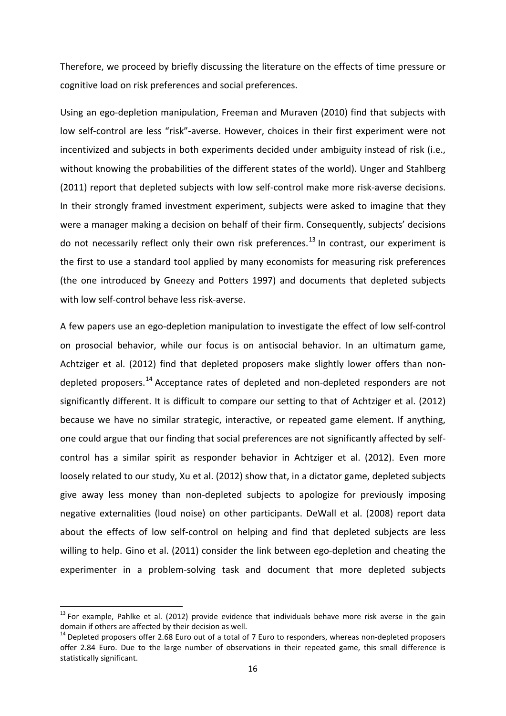Therefore, we proceed by briefly discussing the literature on the effects of time pressure or cognitive load on risk preferences and social preferences.

Using an ego-depletion manipulation, Freeman and Muraven (2010) find that subjects with low self-control are less "risk"-averse. However, choices in their first experiment were not incentivized and subjects in both experiments decided under ambiguity instead of risk (i.e., without knowing the probabilities of the different states of the world). Unger and Stahlberg (2011) report that depleted subjects with low self-control make more risk-averse decisions. In their strongly framed investment experiment, subjects were asked to imagine that they were a manager making a decision on behalf of their firm. Consequently, subjects' decisions do not necessarily reflect only their own risk preferences.<sup>[13](#page-16-0)</sup> In contrast, our experiment is the first to use a standard tool applied by many economists for measuring risk preferences (the one introduced by Gneezy and Potters 1997) and documents that depleted subjects with low self-control behave less risk-averse.

A few papers use an ego-depletion manipulation to investigate the effect of low self-control on prosocial behavior, while our focus is on antisocial behavior. In an ultimatum game, Achtziger et al. (2012) find that depleted proposers make slightly lower offers than non-depleted proposers.<sup>[14](#page-18-0)</sup> Acceptance rates of depleted and non-depleted responders are not significantly different. It is difficult to compare our setting to that of Achtziger et al. (2012) because we have no similar strategic, interactive, or repeated game element. If anything, one could argue that our finding that social preferences are not significantly affected by selfcontrol has a similar spirit as responder behavior in Achtziger et al. (2012). Even more loosely related to our study, Xu et al. (2012) show that, in a dictator game, depleted subjects give away less money than non-depleted subjects to apologize for previously imposing negative externalities (loud noise) on other participants. DeWall et al. (2008) report data about the effects of low self-control on helping and find that depleted subjects are less willing to help. Gino et al. (2011) consider the link between ego-depletion and cheating the experimenter in a problem-solving task and document that more depleted subjects

<sup>&</sup>lt;sup>13</sup> For example, Pahlke et al. (2012) provide evidence that individuals behave more risk averse in the gain domain if others are affected by their decision as well.<br><sup>14</sup> Depleted proposers offer 2.68 Euro out of a total of 7 Euro to responders, whereas non-depleted proposers

<span id="page-18-1"></span><span id="page-18-0"></span>offer 2.84 Euro. Due to the large number of observations in their repeated game, this small difference is statistically significant.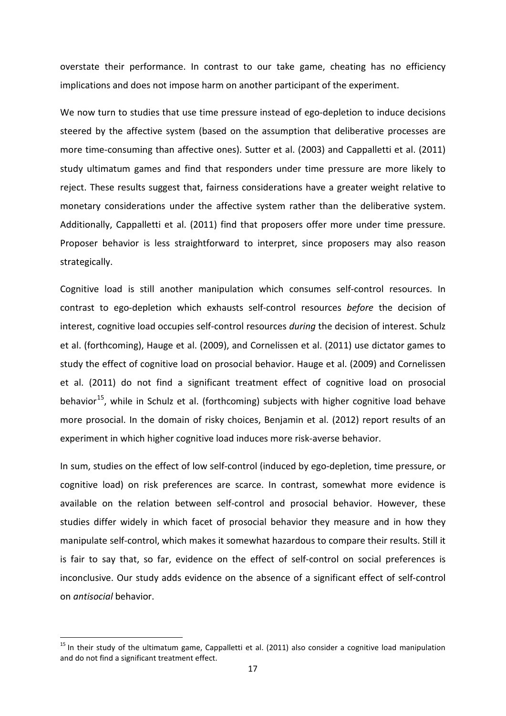overstate their performance. In contrast to our take game, cheating has no efficiency implications and does not impose harm on another participant of the experiment.

We now turn to studies that use time pressure instead of ego-depletion to induce decisions steered by the affective system (based on the assumption that deliberative processes are more time-consuming than affective ones). Sutter et al. (2003) and Cappalletti et al. (2011) study ultimatum games and find that responders under time pressure are more likely to reject. These results suggest that, fairness considerations have a greater weight relative to monetary considerations under the affective system rather than the deliberative system. Additionally, Cappalletti et al. (2011) find that proposers offer more under time pressure. Proposer behavior is less straightforward to interpret, since proposers may also reason strategically.

Cognitive load is still another manipulation which consumes self-control resources. In contrast to ego-depletion which exhausts self-control resources *before* the decision of interest, cognitive load occupies self-control resources *during* the decision of interest. Schulz et al. (forthcoming), Hauge et al. (2009), and Cornelissen et al. (2011) use dictator games to study the effect of cognitive load on prosocial behavior. Hauge et al. (2009) and Cornelissen et al. (2011) do not find a significant treatment effect of cognitive load on prosocial behavior<sup>15</sup>, while in Schulz et al. (forthcoming) subjects with higher cognitive load behave more prosocial. In the domain of risky choices, Benjamin et al. (2012) report results of an experiment in which higher cognitive load induces more risk-averse behavior.

In sum, studies on the effect of low self-control (induced by ego-depletion, time pressure, or cognitive load) on risk preferences are scarce. In contrast, somewhat more evidence is available on the relation between self-control and prosocial behavior. However, these studies differ widely in which facet of prosocial behavior they measure and in how they manipulate self-control, which makes it somewhat hazardous to compare their results. Still it is fair to say that, so far, evidence on the effect of self-control on social preferences is inconclusive. Our study adds evidence on the absence of a significant effect of self-control on *antisocial* behavior.

<sup>&</sup>lt;sup>15</sup> In their study of the ultimatum game, Cappalletti et al. (2011) also consider a cognitive load manipulation and do not find a significant treatment effect.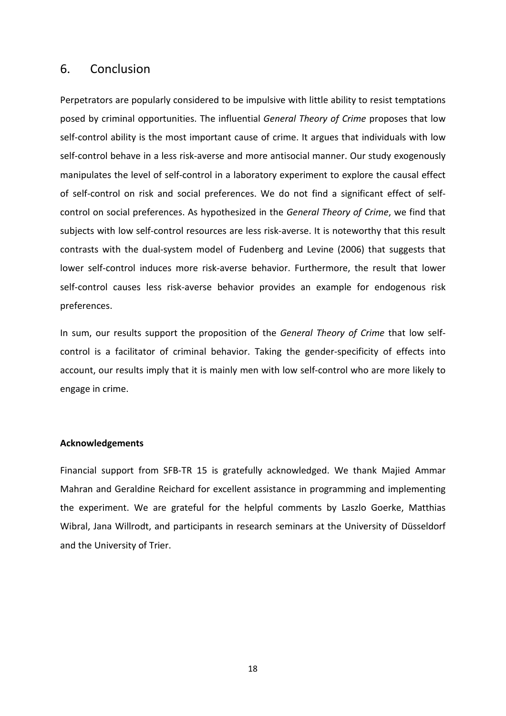# 6. Conclusion

Perpetrators are popularly considered to be impulsive with little ability to resist temptations posed by criminal opportunities. The influential *General Theory of Crime* proposes that low self-control ability is the most important cause of crime. It argues that individuals with low self-control behave in a less risk-averse and more antisocial manner. Our study exogenously manipulates the level of self-control in a laboratory experiment to explore the causal effect of self-control on risk and social preferences. We do not find a significant effect of selfcontrol on social preferences. As hypothesized in the *General Theory of Crime*, we find that subjects with low self-control resources are less risk-averse. It is noteworthy that this result contrasts with the dual-system model of Fudenberg and Levine (2006) that suggests that lower self-control induces more risk-averse behavior. Furthermore, the result that lower self-control causes less risk-averse behavior provides an example for endogenous risk preferences.

In sum, our results support the proposition of the *General Theory of Crime* that low selfcontrol is a facilitator of criminal behavior. Taking the gender-specificity of effects into account, our results imply that it is mainly men with low self-control who are more likely to engage in crime.

#### **Acknowledgements**

Financial support from SFB-TR 15 is gratefully acknowledged. We thank Majied Ammar Mahran and Geraldine Reichard for excellent assistance in programming and implementing the experiment. We are grateful for the helpful comments by Laszlo Goerke, Matthias Wibral, Jana Willrodt, and participants in research seminars at the University of Düsseldorf and the University of Trier.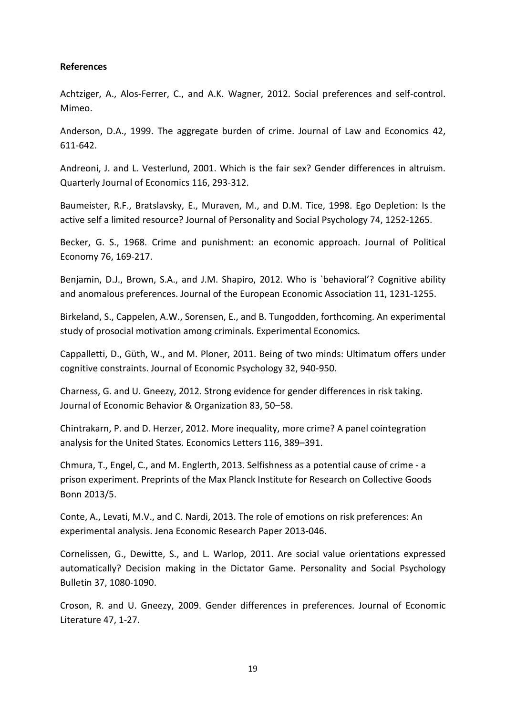#### **References**

Achtziger, A., Alos-Ferrer, C., and A.K. Wagner, 2012. Social preferences and self-control. Mimeo.

Anderson, D.A., 1999. The aggregate burden of crime. Journal of Law and Economics 42, 611-642.

Andreoni, J. and L. Vesterlund, 2001. Which is the fair sex? Gender differences in altruism. Quarterly Journal of Economics 116, 293-312.

Baumeister, R.F., Bratslavsky, E., Muraven, M., and D.M. Tice, 1998. Ego Depletion: Is the active self a limited resource? Journal of Personality and Social Psychology 74, 1252-1265.

Becker, G. S., 1968. Crime and punishment: an economic approach. Journal of Political Economy 76, 169-217.

Benjamin, D.J., Brown, S.A., and J.M. Shapiro, 2012. Who is `behavioral'? Cognitive ability and anomalous preferences. Journal of the European Economic Association 11, 1231-1255.

Birkeland, S., Cappelen, A.W., Sorensen, E., and B. Tungodden, forthcoming. [An experimental](http://dx.doi.org/10.1007/s10683-013-9380-x)  [study of prosocial motivation among criminals.](http://dx.doi.org/10.1007/s10683-013-9380-x) Experimental Economics*.*

Cappalletti, D., Güth, W., and M. Ploner, 2011. Being of two minds: Ultimatum offers under cognitive constraints. Journal of Economic Psychology 32, 940-950.

Charness, G. and U. Gneezy, 2012. Strong evidence for gender differences in risk taking. Journal of Economic Behavior & Organization 83, 50–58.

Chintrakarn, P. and D. Herzer, 2012. More inequality, more crime? A panel cointegration analysis for the United States. Economics Letters 116, 389–391.

Chmura, T., Engel, C., and M. Englerth, 2013. Selfishness as a potential cause of crime - a prison experiment. Preprints of the Max Planck Institute for Research on Collective Goods Bonn 2013/5.

Conte, A., Levati, M.V., and C. Nardi, 2013. The role of emotions on risk preferences: An experimental analysis. Jena Economic Research Paper 2013-046.

Cornelissen, G., Dewitte, S., and L. Warlop, 2011. Are social value orientations expressed automatically? Decision making in the Dictator Game. Personality and Social Psychology Bulletin 37, 1080-1090.

Croson, R. and U. Gneezy, 2009. Gender differences in preferences. Journal of Economic Literature 47, 1-27.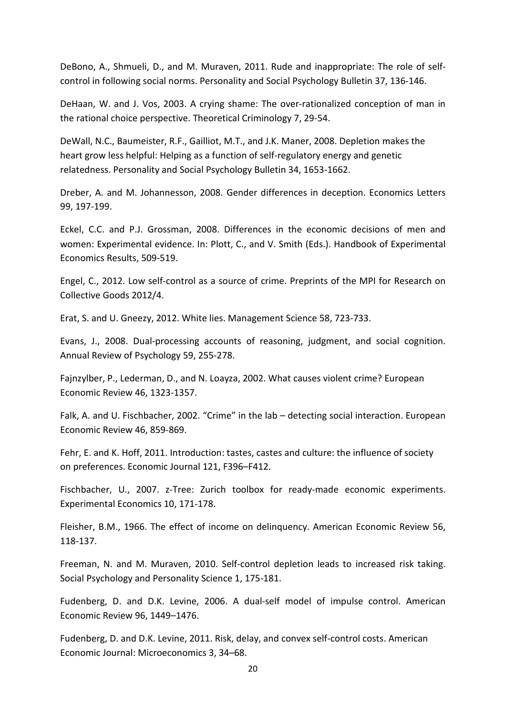DeBono, A., Shmueli, D., and M. Muraven, 2011. Rude and inappropriate: The role of selfcontrol in following social norms. Personality and Social Psychology Bulletin 37, 136-146.

DeHaan, W. and J. Vos, 2003. A crying shame: The over-rationalized conception of man in the rational choice perspective. Theoretical Criminology 7, 29-54.

DeWall, N.C., Baumeister, R.F., Gailliot, M.T., and J.K. Maner, 2008. Depletion makes the heart grow less helpful: Helping as a function of self-regulatory energy and genetic relatedness. Personality and Social Psychology Bulletin 34, 1653-1662.

Dreber, A. and M. Johannesson, 2008. Gender differences in deception. Economics Letters 99, 197-199.

Eckel, C.C. and P.J. Grossman, 2008. Differences in the economic decisions of men and women: Experimental evidence. In: Plott, C., and V. Smith (Eds.). Handbook of Experimental Economics Results, 509-519.

Engel, C., 2012. Low self-control as a source of crime. Preprints of the MPI for Research on Collective Goods 2012/4.

Erat, S. and U. Gneezy, 2012. White lies. Management Science 58, 723-733.

Evans, J., 2008. Dual-processing accounts of reasoning, judgment, and social cognition. Annual Review of Psychology 59, 255-278.

Fajnzylber, P., Lederman, D., and N. Loayza, 2002. What causes violent crime? European Economic Review 46, 1323-1357.

Falk, A. and U. Fischbacher, 2002. "Crime" in the lab - detecting social interaction. European Economic Review 46, 859-869.

Fehr, E. and K. Hoff, 2011. Introduction: tastes, castes and culture: the influence of society on preferences. Economic Journal 121, F396–F412.

Fischbacher, U., 2007. z-Tree: Zurich toolbox for ready-made economic experiments. Experimental Economics 10, 171-178.

Fleisher, B.M., 1966. The effect of income on delinquency. American Economic Review 56, 118-137.

Freeman, N. and M. Muraven, 2010. Self-control depletion leads to increased risk taking. Social Psychology and Personality Science 1, 175-181.

Fudenberg, D. and D.K. Levine, 2006. A dual-self model of impulse control. American Economic Review 96, 1449–1476.

Fudenberg, D. and D.K. Levine, 2011. Risk, delay, and convex self-control costs. American Economic Journal: Microeconomics 3, 34–68.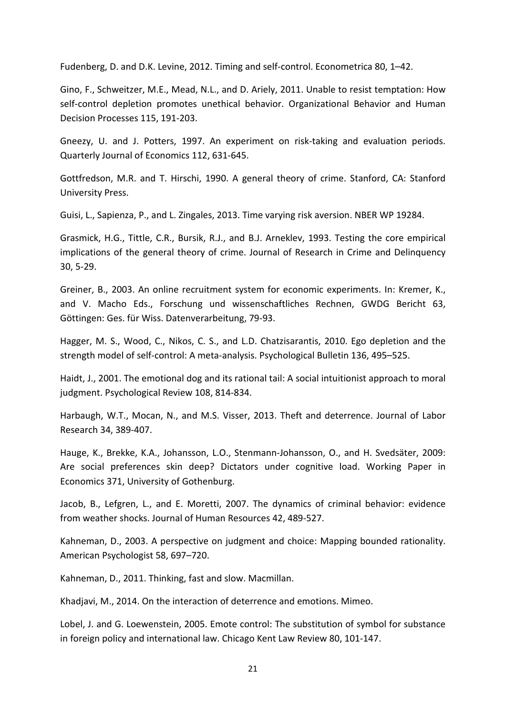Fudenberg, D. and D.K. Levine, 2012. Timing and self-control. Econometrica 80, 1–42.

Gino, F., Schweitzer, M.E., Mead, N.L., and D. Ariely, 2011. Unable to resist temptation: How self-control depletion promotes unethical behavior. Organizational Behavior and Human Decision Processes 115, 191-203.

Gneezy, U. and J. Potters, 1997. An experiment on risk-taking and evaluation periods. Quarterly Journal of Economics 112, 631-645.

Gottfredson, M.R. and T. Hirschi, 1990. A general theory of crime. Stanford, CA: Stanford University Press.

Guisi, L., Sapienza, P., and L. Zingales, 2013. Time varying risk aversion. NBER WP 19284.

Grasmick, H.G., Tittle, C.R., Bursik, R.J., and B.J. Arneklev, 1993. Testing the core empirical implications of the general theory of crime. Journal of Research in Crime and Delinquency 30, 5-29.

Greiner, B., 2003. An online recruitment system for economic experiments. In: Kremer, K., and V. Macho Eds., Forschung und wissenschaftliches Rechnen, GWDG Bericht 63, Göttingen: Ges. für Wiss. Datenverarbeitung, 79-93.

Hagger, M. S., Wood, C., Nikos, C. S., and L.D. Chatzisarantis, 2010. Ego depletion and the strength model of self-control: A meta-analysis. Psychological Bulletin 136, 495–525.

Haidt, J., 2001. The emotional dog and its rational tail: A social intuitionist approach to moral judgment. Psychological Review 108, 814-834.

Harbaugh, W.T., Mocan, N., and M.S. Visser, 2013. Theft and deterrence. Journal of Labor Research 34, 389-407.

Hauge, K., Brekke, K.A., Johansson, L.O., Stenmann-Johansson, O., and H. Svedsäter, 2009: Are social preferences skin deep? Dictators under cognitive load. Working Paper in Economics 371, University of Gothenburg.

Jacob, B., Lefgren, L., and E. Moretti, 2007. The dynamics of criminal behavior: evidence from weather shocks. Journal of Human Resources 42, 489-527.

Kahneman, D., 2003. A perspective on judgment and choice: Mapping bounded rationality. American Psychologist 58, 697–720.

Kahneman, D., 2011. Thinking, fast and slow. Macmillan.

Khadjavi, M., 2014. On the interaction of deterrence and emotions. Mimeo.

Lobel, J. and G. Loewenstein, 2005. Emote control: The substitution of symbol for substance in foreign policy and international law. Chicago Kent Law Review 80, 101-147.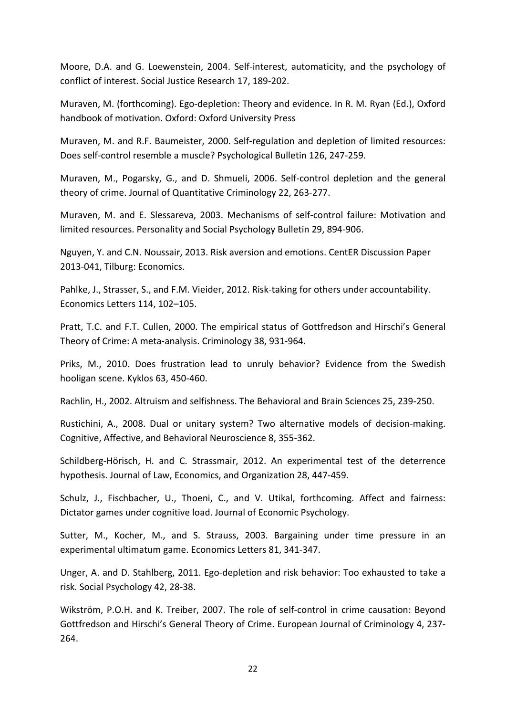Moore, D.A. and G. Loewenstein, 2004. Self-interest, automaticity, and the psychology of conflict of interest. Social Justice Research 17, 189-202.

Muraven, M. (forthcoming). Ego-depletion: Theory and evidence. In R. M. Ryan (Ed.), Oxford handbook of motivation. Oxford: Oxford University Press

Muraven, M. and R.F. Baumeister, 2000. Self-regulation and depletion of limited resources: Does self-control resemble a muscle? Psychological Bulletin 126, 247-259.

Muraven, M., Pogarsky, G., and D. Shmueli, 2006. Self-control depletion and the general theory of crime. Journal of Quantitative Criminology 22, 263-277.

Muraven, M. and E. Slessareva, 2003. Mechanisms of self-control failure: Motivation and limited resources. Personality and Social Psychology Bulletin 29, 894-906.

Nguyen, Y. and C.N. Noussair, 2013. Risk aversion and emotions. CentER Discussion Paper 2013-041, Tilburg: Economics.

Pahlke, J., Strasser, S., and F.M. Vieider, 2012. Risk-taking for others under accountability. Economics Letters 114, 102–105.

Pratt, T.C. and F.T. Cullen, 2000. The empirical status of Gottfredson and Hirschi's General Theory of Crime: A meta-analysis. Criminology 38, 931-964.

Priks, M., 2010. Does frustration lead to unruly behavior? Evidence from the Swedish hooligan scene. Kyklos 63, 450-460.

Rachlin, H., 2002. Altruism and selfishness. The Behavioral and Brain Sciences 25, 239-250.

Rustichini, A., 2008. Dual or unitary system? Two alternative models of decision-making. Cognitive, Affective, and Behavioral Neuroscience 8, 355-362.

Schildberg-Hörisch, H. and C. Strassmair, 2012. An experimental test of the deterrence hypothesis. Journal of Law, Economics, and Organization 28, 447-459.

Schulz, J., Fischbacher, U., Thoeni, C., and V. Utikal, forthcoming. Affect and fairness: Dictator games under cognitive load. Journal of Economic Psychology.

Sutter, M., Kocher, M., and S. Strauss, 2003. Bargaining under time pressure in an experimental ultimatum game. Economics Letters 81, 341-347.

Unger, A. and D. Stahlberg, 2011. Ego-depletion and risk behavior: Too exhausted to take a risk. Social Psychology 42, 28-38.

Wikström, P.O.H. and K. Treiber, 2007. The role of self-control in crime causation: Beyond Gottfredson and Hirschi's General Theory of Crime. European Journal of Criminology 4, 237- 264.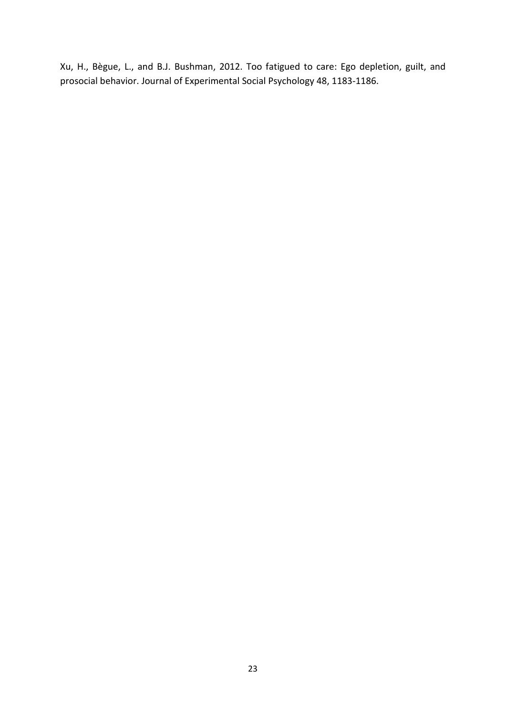Xu, H., Bègue, L., and B.J. Bushman, 2012. Too fatigued to care: Ego depletion, guilt, and prosocial behavior. Journal of Experimental Social Psychology 48, 1183-1186.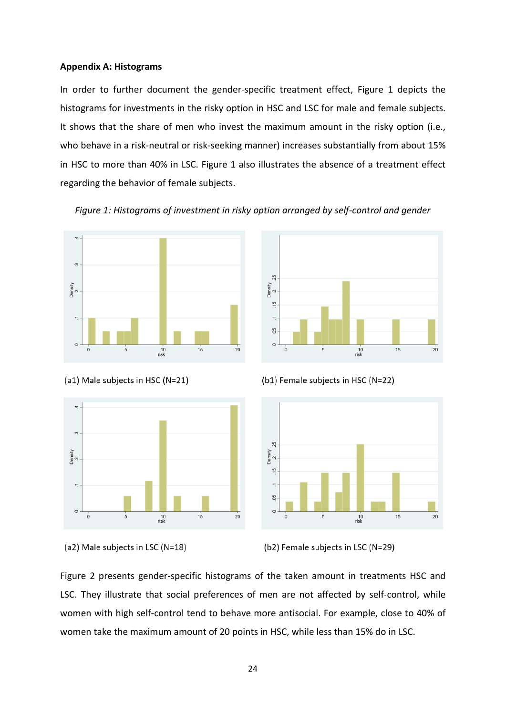#### **Appendix A: Histograms**

In order to further document the gender-specific treatment effect, Figure 1 depicts the histograms for investments in the risky option in HSC and LSC for male and female subjects. It shows that the share of men who invest the maximum amount in the risky option (i.e., who behave in a risk-neutral or risk-seeking manner) increases substantially from about 15% in HSC to more than 40% in LSC. Figure 1 also illustrates the absence of a treatment effect regarding the behavior of female subjects.

*Figure 1: Histograms of investment in risky option arranged by self-control and gender*









(b1) Female subjects in HSC (N=22)



Figure 2 presents gender-specific histograms of the taken amount in treatments HSC and LSC. They illustrate that social preferences of men are not affected by self-control, while women with high self-control tend to behave more antisocial. For example, close to 40% of women take the maximum amount of 20 points in HSC, while less than 15% do in LSC.

<sup>(</sup>a2) Male subjects in LSC (N=18)

<sup>(</sup>b2) Female subjects in LSC (N=29)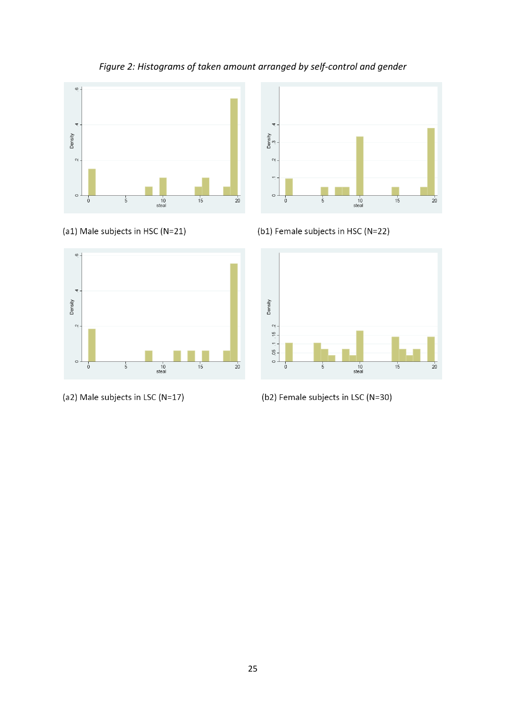

# *Figure 2: Histograms of taken amount arranged by self-control and gender*





(a2) Male subjects in LSC (N=17)



(b1) Female subjects in HSC (N=22)



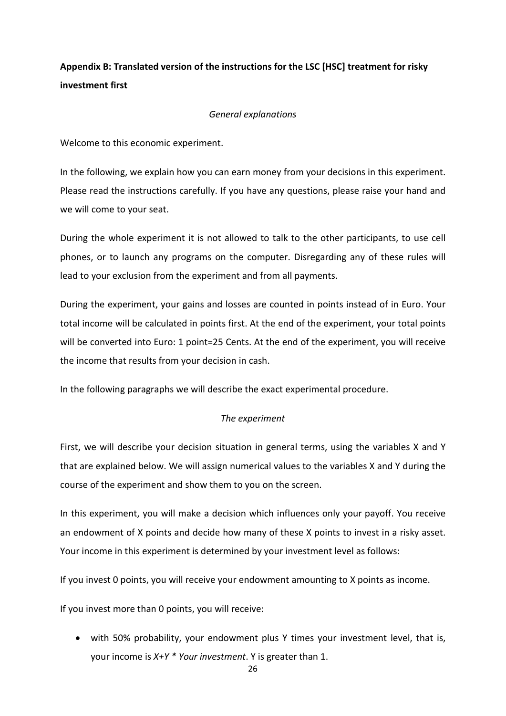# **Appendix B: Translated version of the instructions for the LSC [HSC] treatment for risky investment first**

#### *General explanations*

Welcome to this economic experiment.

In the following, we explain how you can earn money from your decisions in this experiment. Please read the instructions carefully. If you have any questions, please raise your hand and we will come to your seat.

During the whole experiment it is not allowed to talk to the other participants, to use cell phones, or to launch any programs on the computer. Disregarding any of these rules will lead to your exclusion from the experiment and from all payments.

During the experiment, your gains and losses are counted in points instead of in Euro. Your total income will be calculated in points first. At the end of the experiment, your total points will be converted into Euro: 1 point=25 Cents. At the end of the experiment, you will receive the income that results from your decision in cash.

In the following paragraphs we will describe the exact experimental procedure.

#### *The experiment*

First, we will describe your decision situation in general terms, using the variables X and Y that are explained below. We will assign numerical values to the variables X and Y during the course of the experiment and show them to you on the screen.

In this experiment, you will make a decision which influences only your payoff. You receive an endowment of X points and decide how many of these X points to invest in a risky asset. Your income in this experiment is determined by your investment level as follows:

If you invest 0 points, you will receive your endowment amounting to X points as income.

If you invest more than 0 points, you will receive:

• with 50% probability, your endowment plus Y times your investment level, that is, your income is *X+Y \* Your investment*. Y is greater than 1.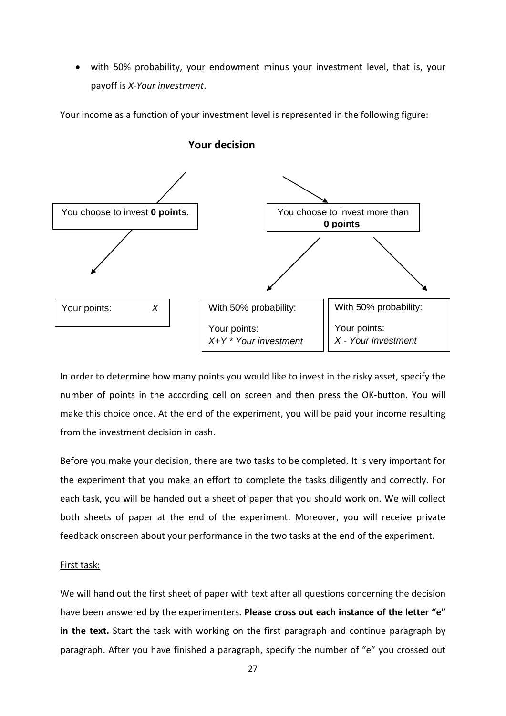• with 50% probability, your endowment minus your investment level, that is, your payoff is *X-Your investment*.

Your income as a function of your investment level is represented in the following figure:



**Your decision**

In order to determine how many points you would like to invest in the risky asset, specify the number of points in the according cell on screen and then press the OK-button. You will  make this choice once. At the end of the experiment, you will be paid your income resulting from the investment decision in cash.

Before you make your decision, there are two tasks to be completed. It is very important for the experiment that you make an effort to complete the tasks diligently and correctly. For each task, you will be handed out a sheet of paper that you should work on. We will collect both sheets of paper at the end of the experiment. Moreover, you will receive private feedback onscreen about your performance in the two tasks at the end of the experiment.

#### First task:

We will hand out the first sheet of paper with text after all questions concerning the decision have been answered by the experimenters. **Please cross out each instance of the letter "e" in the text.** Start the task with working on the first paragraph and continue paragraph by paragraph. After you have finished a paragraph, specify the number of "e" you crossed out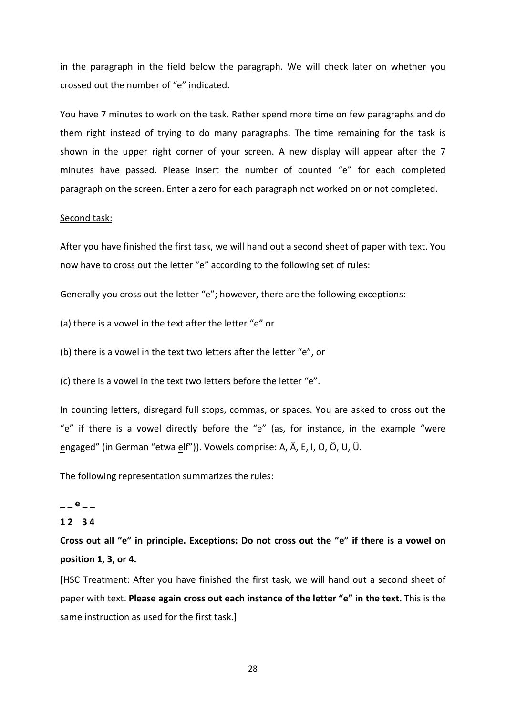in the paragraph in the field below the paragraph. We will check later on whether you crossed out the number of "e" indicated.

You have 7 minutes to work on the task. Rather spend more time on few paragraphs and do them right instead of trying to do many paragraphs. The time remaining for the task is shown in the upper right corner of your screen. A new display will appear after the 7 minutes have passed. Please insert the number of counted "e" for each completed paragraph on the screen. Enter a zero for each paragraph not worked on or not completed.

#### Second task:

After you have finished the first task, we will hand out a second sheet of paper with text. You now have to cross out the letter "e" according to the following set of rules:

Generally you cross out the letter "e"; however, there are the following exceptions:

(a) there is a vowel in the text after the letter "e" or

(b) there is a vowel in the text two letters after the letter "e", or

(c) there is a vowel in the text two letters before the letter "e".

In counting letters, disregard full stops, commas, or spaces. You are asked to cross out the "e" if there is a vowel directly before the "e" (as, for instance, in the example "were engaged" (in German "etwa elf")). Vowels comprise: A, Ä, E, I, O, Ö, U, Ü.

The following representation summarizes the rules:

# $- -e$   $- -$

#### **1 2 3 4**

**Cross out all "e" in principle. Exceptions: Do not cross out the "e" if there is a vowel on position 1, 3, or 4.**

[HSC Treatment: After you have finished the first task, we will hand out a second sheet of paper with text. **Please again cross out each instance of the letter "e" in the text.** This is the same instruction as used for the first task.]

28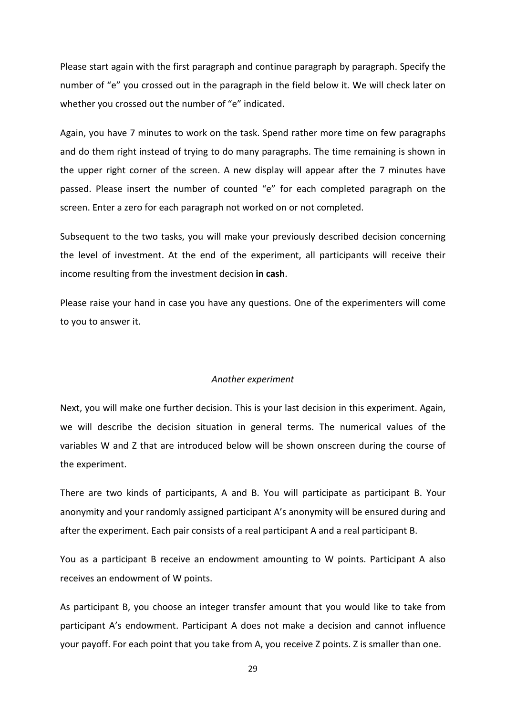Please start again with the first paragraph and continue paragraph by paragraph. Specify the number of "e" you crossed out in the paragraph in the field below it. We will check later on whether you crossed out the number of "e" indicated.

Again, you have 7 minutes to work on the task. Spend rather more time on few paragraphs and do them right instead of trying to do many paragraphs. The time remaining is shown in the upper right corner of the screen. A new display will appear after the 7 minutes have passed. Please insert the number of counted "e" for each completed paragraph on the screen. Enter a zero for each paragraph not worked on or not completed.

Subsequent to the two tasks, you will make your previously described decision concerning the level of investment. At the end of the experiment, all participants will receive their income resulting from the investment decision **in cash**.

Please raise your hand in case you have any questions. One of the experimenters will come to you to answer it.

#### *Another experiment*

Next, you will make one further decision. This is your last decision in this experiment. Again, we will describe the decision situation in general terms. The numerical values of the variables W and Z that are introduced below will be shown onscreen during the course of the experiment.

There are two kinds of participants, A and B. You will participate as participant B. Your anonymity and your randomly assigned participant A's anonymity will be ensured during and after the experiment. Each pair consists of a real participant A and a real participant B.

You as a participant B receive an endowment amounting to W points. Participant A also receives an endowment of W points.

As participant B, you choose an integer transfer amount that you would like to take from participant A's endowment. Participant A does not make a decision and cannot influence your payoff. For each point that you take from A, you receive Z points. Z is smaller than one.

29